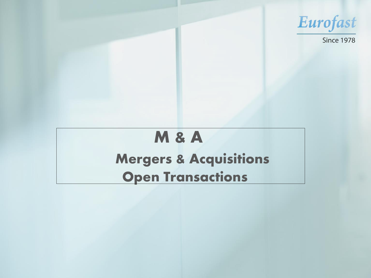## **M & A Mergers & Acquisitions Open Transactions**



## **Since 1978**

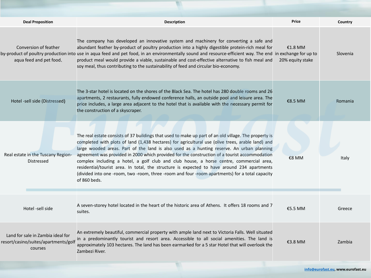| <b>Deal Proposition</b>                                                              | <b>Description</b>                                                                                                                                                                                                                                                                                                                                                                                                                                                                                                                                                                                                                                                                                                    | <b>Price</b>                  | Country      |
|--------------------------------------------------------------------------------------|-----------------------------------------------------------------------------------------------------------------------------------------------------------------------------------------------------------------------------------------------------------------------------------------------------------------------------------------------------------------------------------------------------------------------------------------------------------------------------------------------------------------------------------------------------------------------------------------------------------------------------------------------------------------------------------------------------------------------|-------------------------------|--------------|
| Conversion of feather<br>aqua feed and pet food.                                     | The company has developed an innovative system and machinery for converting a safe and<br>abundant feather by-product of poultry production into a highly digestible protein-rich meal for<br>by-product of poultry production into use in aqua feed and pet food, in an environmentally sound and resource-efficient way. The end in exchange for up to<br>product meal would provide a viable, sustainable and cost-effective alternative to fish meal and<br>soy meal, thus contributing to the sustainability of feed and circular bio-economy.                                                                                                                                                                   | $£1.8$ MM<br>20% equity stake | Slovenia     |
| Hotel -sell side (Distressed)                                                        | The 3-star hotel is located on the shores of the Black Sea. The hotel has 280 double rooms and 26<br>apartments, 2 restaurants, fully endowed conference halls, an outside pool and leisure area. The<br>price includes, a large area adjacent to the hotel that is available with the necessary permit for<br>the construction of a skyscraper.                                                                                                                                                                                                                                                                                                                                                                      | €8.5 MM                       | Romania      |
| Real estate in the Tuscany Region-<br><b>Distressed</b>                              | The real estate consists of 37 buildings that used to make up part of an old village. The property is<br>completed with plots of land (1,438 hectares) for agricultural use (olive trees, arable land) and<br>large wooded areas. Part of the land is also used as a hunting reserve. An urban planning<br>agreement was provided in 2000 which provided for the construction of a tourist accommodation<br>complex including a hotel, a golf club and club house, a horse centre, commercial area,<br>residential/tourist area. In total, the structure is expected to have around 234 apartments<br>(divided into one -room, two -room, three -room and four -room apartments) for a total capacity<br>of 860 beds. | €8 MM                         | <b>Italy</b> |
| Hotel -sell side                                                                     | A seven-storey hotel located in the heart of the historic area of Athens. It offers 18 rooms and 7<br>suites.                                                                                                                                                                                                                                                                                                                                                                                                                                                                                                                                                                                                         | €5.5 MM                       | Greece       |
| Land for sale in Zambia ideal for<br>resort/casino/suites/apartments/golf<br>courses | An extremely beautiful, commercial property with ample land next to Victoria Falls. Well situated<br>in a predominantly tourist and resort area. Accessible to all social amenities. The land is<br>approximately 103 hectares. The land has been earmarked for a 5 star Hotel that will overlook the<br>Zambezi River.                                                                                                                                                                                                                                                                                                                                                                                               | €3.8 MM                       | Zambia       |
| info@eurofast.eu, www.eurofast.eu                                                    |                                                                                                                                                                                                                                                                                                                                                                                                                                                                                                                                                                                                                                                                                                                       |                               |              |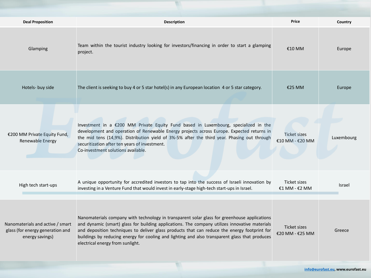| <b>Deal Proposition</b>                                                                 | <b>Description</b>                                                                                                                                                                                                                                                                                                                                                                                                                   | <b>Price</b>                    | <b>Country</b> |  |
|-----------------------------------------------------------------------------------------|--------------------------------------------------------------------------------------------------------------------------------------------------------------------------------------------------------------------------------------------------------------------------------------------------------------------------------------------------------------------------------------------------------------------------------------|---------------------------------|----------------|--|
| Glamping                                                                                | Team within the tourist industry looking for investors/financing in order to start a glamping<br>project.                                                                                                                                                                                                                                                                                                                            | €10 MM                          | Europe         |  |
| Hotels- buy side                                                                        | The client is seeking to buy 4 or 5 star hotel(s) in any European location 4 or 5 star category.                                                                                                                                                                                                                                                                                                                                     | €25 MM                          | Europe         |  |
| €200 MM Private Equity Fund,<br>Renewable Energy                                        | Investment in a €200 MM Private Equity Fund based in Luxembourg, specialized in the<br>development and operation of Renewable Energy projects across Europe. Expected returns in<br>the mid tens (14,9%). Distribution yield of 3%-5% after the third year. Phasing out through<br>securitization after ten years of investment.<br>Co-investment solutions available.                                                               | Ticket sizes<br>€10 MM - €20 MM | Luxembourg     |  |
| High tech start-ups                                                                     | A unique opportunity for accredited investors to tap into the success of Israeli innovation by<br>investing in a Venture Fund that would invest in early-stage high-tech start-ups in Israel.                                                                                                                                                                                                                                        | Ticket sizes<br>€1 MM - $€2$ MM | <b>Israel</b>  |  |
| Nanomaterials and active / smart<br>glass (for energy generation and<br>energy savings) | Nanomaterials company with technology in transparent solar glass for greenhouse applications<br>and dynamic (smart) glass for building applications. The company utilizes innovative materials<br>and deposition techniques to deliver glass products that can reduce the energy footprint for<br>buildings by reducing energy for cooling and lighting and also transparent glass that produces<br>electrical energy from sunlight. | Ticket sizes<br>€20 MM - €25 MM | Greece         |  |
| info@eurofast.eu, www.eurofast.eu                                                       |                                                                                                                                                                                                                                                                                                                                                                                                                                      |                                 |                |  |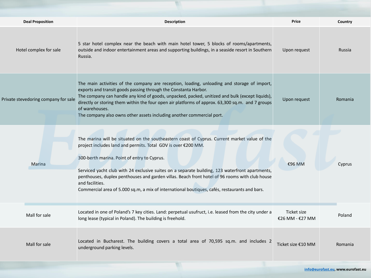| <b>Deal Proposition</b>              | <b>Description</b>                                                                                                                                                                                                                                                                                                                                                                                                                                                                                                                    | <b>Price</b>                   | <b>Country</b> |
|--------------------------------------|---------------------------------------------------------------------------------------------------------------------------------------------------------------------------------------------------------------------------------------------------------------------------------------------------------------------------------------------------------------------------------------------------------------------------------------------------------------------------------------------------------------------------------------|--------------------------------|----------------|
| Hotel complex for sale               | 5 star hotel complex near the beach with main hotel tower, 5 blocks of rooms/apartments,<br>outside and indoor entertainment areas and supporting buildings, in a seaside resort in Southern<br>Russia.                                                                                                                                                                                                                                                                                                                               | Upon request                   | Russia         |
| Private stevedoring company for sale | The main activities of the company are reception, loading, unloading and storage of import,<br>exports and transit goods passing through the Constanta Harbor.<br>The company can handle any kind of goods, unpacked, packed, unitized and bulk (except liquids),<br>directly or storing them within the four open air platforms of approx. 63,300 sq.m. and 7 groups<br>of warehouses.<br>The company also owns other assets including another commercial port.                                                                      | Upon request                   | Romania        |
| Marina                               | The marina will be situated on the southeastern coast of Cyprus. Current market value of the<br>project includes land and permits. Total GDV is over €200 MM.<br>300-berth marina. Point of entry to Cyprus.<br>Serviced yacht club with 24 exclusive suites on a separate building, 123 waterfront apartments,<br>penthouses, duplex penthouses and garden villas. Beach front hotel of 96 rooms with club house<br>and facilities.<br>Commercial area of 5.000 sq.m, a mix of international boutiques, cafés, restaurants and bars. | €96 MM                         | Cyprus         |
| Mall for sale                        | Located in one of Poland's 7 key cities. Land: perpetual usufruct, i.e. leased from the city under a<br>long lease (typical in Poland). The building is freehold.                                                                                                                                                                                                                                                                                                                                                                     | Ticket size<br>€26 MM - €27 MM | Poland         |
| Mall for sale                        | Located in Bucharest. The building covers a total area of 70,595 sq.m. and includes 2<br>underground parking levels.                                                                                                                                                                                                                                                                                                                                                                                                                  | Ticket size €10 MM             | Romania        |
| info@eurofast.eu, www.eurofast.eu    |                                                                                                                                                                                                                                                                                                                                                                                                                                                                                                                                       |                                |                |